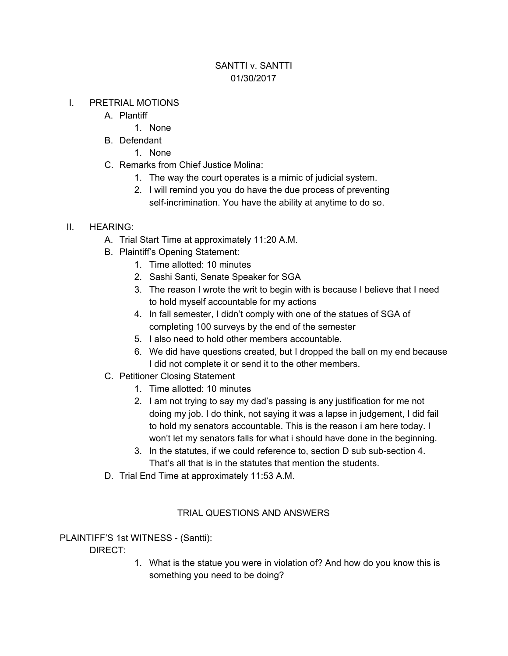# SANTTI v. SANTTI 01/30/2017

### I. PRETRIAL MOTIONS

- A. Plantiff
	- 1. None
- B. Defendant
	- 1. None
- C. Remarks from Chief Justice Molina:
	- 1. The way the court operates is a mimic of judicial system.
	- 2. I will remind you you do have the due process of preventing self-incrimination. You have the ability at anytime to do so.

### II. HEARING:

- A. Trial Start Time at approximately 11:20 A.M.
- B. Plaintiff's Opening Statement:
	- 1. Time allotted: 10 minutes
	- 2. Sashi Santi, Senate Speaker for SGA
	- 3. The reason I wrote the writ to begin with is because I believe that I need to hold myself accountable for my actions
	- 4. In fall semester, I didn't comply with one of the statues of SGA of completing 100 surveys by the end of the semester
	- 5. I also need to hold other members accountable.
	- 6. We did have questions created, but I dropped the ball on my end because I did not complete it or send it to the other members.
- C. Petitioner Closing Statement
	- 1. Time allotted: 10 minutes
	- 2. I am not trying to say my dad's passing is any justification for me not doing my job. I do think, not saying it was a lapse in judgement, I did fail to hold my senators accountable. This is the reason i am here today. I won't let my senators falls for what i should have done in the beginning.
	- 3. In the statutes, if we could reference to, section D sub sub-section 4. That's all that is in the statutes that mention the students.
- D. Trial End Time at approximately 11:53 A.M.

## TRIAL QUESTIONS AND ANSWERS

PLAINTIFF'S 1st WITNESS - (Santti):

DIRECT:

1. What is the statue you were in violation of? And how do you know this is something you need to be doing?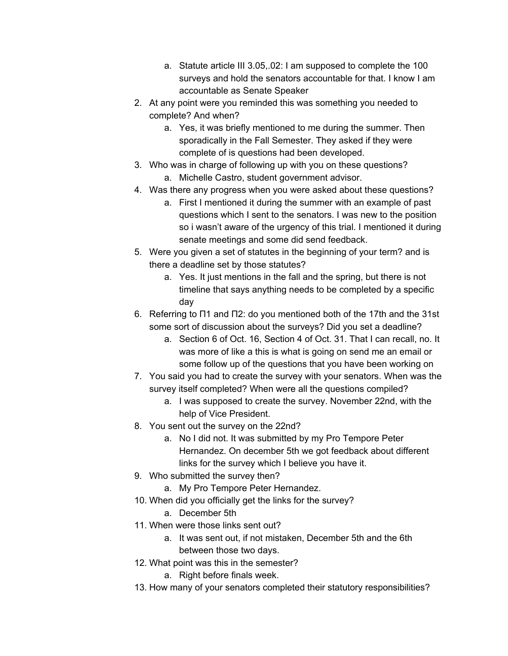- a. Statute article III 3.05,.02: I am supposed to complete the 100 surveys and hold the senators accountable for that. I know I am accountable as Senate Speaker
- 2. At any point were you reminded this was something you needed to complete? And when?
	- a. Yes, it was briefly mentioned to me during the summer. Then sporadically in the Fall Semester. They asked if they were complete of is questions had been developed.
- 3. Who was in charge of following up with you on these questions? a. Michelle Castro, student government advisor.
- 4. Was there any progress when you were asked about these questions?
	- a. First I mentioned it during the summer with an example of past questions which I sent to the senators. I was new to the position so i wasn't aware of the urgency of this trial. I mentioned it during senate meetings and some did send feedback.
- 5. Were you given a set of statutes in the beginning of your term? and is there a deadline set by those statutes?
	- a. Yes. It just mentions in the fall and the spring, but there is not timeline that says anything needs to be completed by a specific day
- 6. Referring to Π1 and Π2: do you mentioned both of the 17th and the 31st some sort of discussion about the surveys? Did you set a deadline?
	- a. Section 6 of Oct. 16, Section 4 of Oct. 31. That I can recall, no. It was more of like a this is what is going on send me an email or some follow up of the questions that you have been working on
- 7. You said you had to create the survey with your senators. When was the survey itself completed? When were all the questions compiled?
	- a. I was supposed to create the survey. November 22nd, with the help of Vice President.
- 8. You sent out the survey on the 22nd?
	- a. No I did not. It was submitted by my Pro Tempore Peter Hernandez. On december 5th we got feedback about different links for the survey which I believe you have it.
- 9. Who submitted the survey then?
	- a. My Pro Tempore Peter Hernandez.
- 10. When did you officially get the links for the survey?
	- a. December 5th
- 11. When were those links sent out?
	- a. It was sent out, if not mistaken, December 5th and the 6th between those two days.
- 12. What point was this in the semester?
	- a. Right before finals week.
- 13. How many of your senators completed their statutory responsibilities?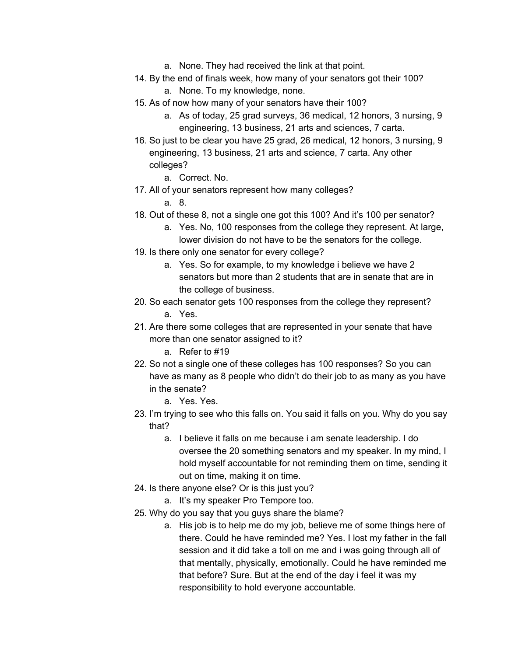- a. None. They had received the link at that point.
- 14. By the end of finals week, how many of your senators got their 100?
	- a. None. To my knowledge, none.
- 15. As of now how many of your senators have their 100?
	- a. As of today, 25 grad surveys, 36 medical, 12 honors, 3 nursing, 9 engineering, 13 business, 21 arts and sciences, 7 carta.
- 16. So just to be clear you have 25 grad, 26 medical, 12 honors, 3 nursing, 9 engineering, 13 business, 21 arts and science, 7 carta. Any other colleges?
	- a. Correct. No.
- 17. All of your senators represent how many colleges?

a. 8.

- 18. Out of these 8, not a single one got this 100? And it's 100 per senator?
	- a. Yes. No, 100 responses from the college they represent. At large, lower division do not have to be the senators for the college.
- 19. Is there only one senator for every college?
	- a. Yes. So for example, to my knowledge i believe we have 2 senators but more than 2 students that are in senate that are in the college of business.
- 20. So each senator gets 100 responses from the college they represent? a. Yes.
- 21. Are there some colleges that are represented in your senate that have more than one senator assigned to it?
	- a. Refer to #19
- 22. So not a single one of these colleges has 100 responses? So you can have as many as 8 people who didn't do their job to as many as you have in the senate?
	- a. Yes. Yes.
- 23. I'm trying to see who this falls on. You said it falls on you. Why do you say that?
	- a. I believe it falls on me because i am senate leadership. I do oversee the 20 something senators and my speaker. In my mind, I hold myself accountable for not reminding them on time, sending it out on time, making it on time.
- 24. Is there anyone else? Or is this just you?
	- a. It's my speaker Pro Tempore too.
- 25. Why do you say that you guys share the blame?
	- a. His job is to help me do my job, believe me of some things here of there. Could he have reminded me? Yes. I lost my father in the fall session and it did take a toll on me and i was going through all of that mentally, physically, emotionally. Could he have reminded me that before? Sure. But at the end of the day i feel it was my responsibility to hold everyone accountable.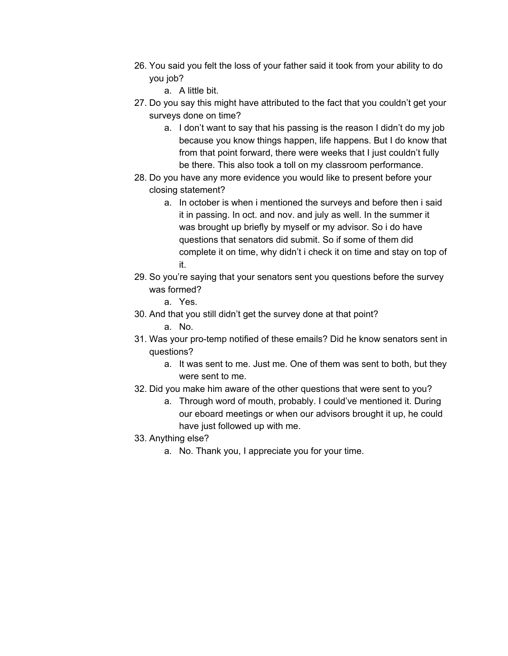- 26. You said you felt the loss of your father said it took from your ability to do you job?
	- a. A little bit.
- 27. Do you say this might have attributed to the fact that you couldn't get your surveys done on time?
	- a. I don't want to say that his passing is the reason I didn't do my job because you know things happen, life happens. But I do know that from that point forward, there were weeks that I just couldn't fully be there. This also took a toll on my classroom performance.
- 28. Do you have any more evidence you would like to present before your closing statement?
	- a. In october is when i mentioned the surveys and before then i said it in passing. In oct. and nov. and july as well. In the summer it was brought up briefly by myself or my advisor. So i do have questions that senators did submit. So if some of them did complete it on time, why didn't i check it on time and stay on top of it.
- 29. So you're saying that your senators sent you questions before the survey was formed?
	- a. Yes.
- 30. And that you still didn't get the survey done at that point? a. No.
- 31. Was your pro-temp notified of these emails? Did he know senators sent in questions?
	- a. It was sent to me. Just me. One of them was sent to both, but they were sent to me.
- 32. Did you make him aware of the other questions that were sent to you?
	- a. Through word of mouth, probably. I could've mentioned it. During our eboard meetings or when our advisors brought it up, he could have just followed up with me.
- 33. Anything else?
	- a. No. Thank you, I appreciate you for your time.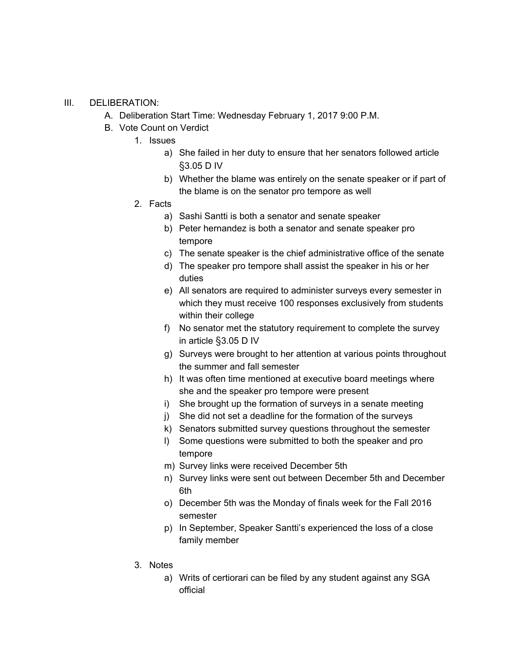#### III. DELIBERATION:

- A. Deliberation Start Time: Wednesday February 1, 2017 9:00 P.M.
- B. Vote Count on Verdict
	- 1. Issues
		- a) She failed in her duty to ensure that her senators followed article §3.05 D IV
		- b) Whether the blame was entirely on the senate speaker or if part of the blame is on the senator pro tempore as well
	- 2. Facts
		- a) Sashi Santti is both a senator and senate speaker
		- b) Peter hernandez is both a senator and senate speaker pro tempore
		- c) The senate speaker is the chief administrative office of the senate
		- d) The speaker pro tempore shall assist the speaker in his or her duties
		- e) All senators are required to administer surveys every semester in which they must receive 100 responses exclusively from students within their college
		- f) No senator met the statutory requirement to complete the survey in article §3.05 D IV
		- g) Surveys were brought to her attention at various points throughout the summer and fall semester
		- h) It was often time mentioned at executive board meetings where she and the speaker pro tempore were present
		- i) She brought up the formation of surveys in a senate meeting
		- j) She did not set a deadline for the formation of the surveys
		- k) Senators submitted survey questions throughout the semester
		- l) Some questions were submitted to both the speaker and pro tempore
		- m) Survey links were received December 5th
		- n) Survey links were sent out between December 5th and December 6th
		- o) December 5th was the Monday of finals week for the Fall 2016 semester
		- p) In September, Speaker Santti's experienced the loss of a close family member
	- 3. Notes
		- a) Writs of certiorari can be filed by any student against any SGA official